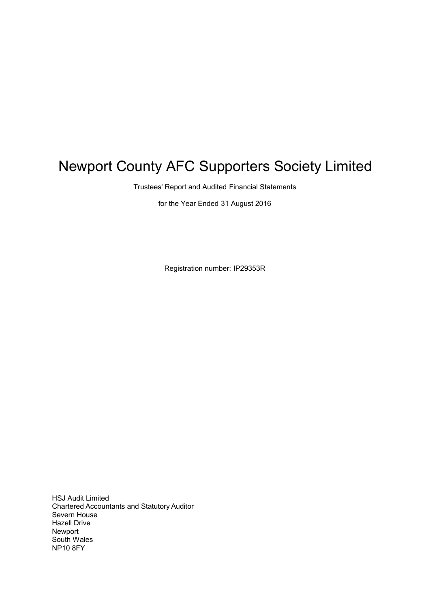# Newport County AFC Supporters Society Limited

Trustees' Report and Audited Financial Statements

for the Year Ended 31 August 2016

Registration number: IP29353R

HSJ Audit Limited Chartered Accountants and Statutory Auditor Severn House Hazell Drive Newport South Wales NP10 8FY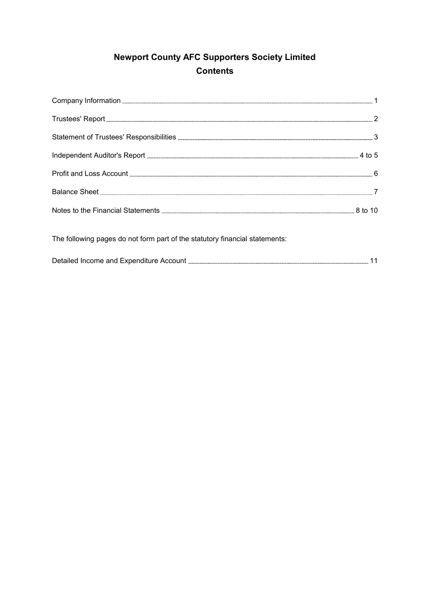## **Newport County AFC Supporters Society Limited Contents**

| The following pages do not form part of the statutory financial statements: |  |
|-----------------------------------------------------------------------------|--|
|                                                                             |  |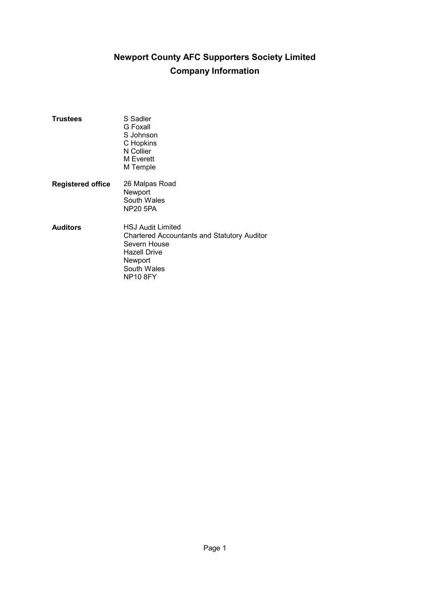### **Newport County AFC Supporters Society Limited Company Information**

**Trustees** S Sadler G Foxall S Johnson C Hopkins N Collier M Everett M Temple **Registered office** 26 Malpas Road Newport South Wales NP20 5PA **Auditors** HSJ Audit Limited Chartered Accountants and Statutory Auditor Severn House Hazell Drive Newport South Wales NP10 8FY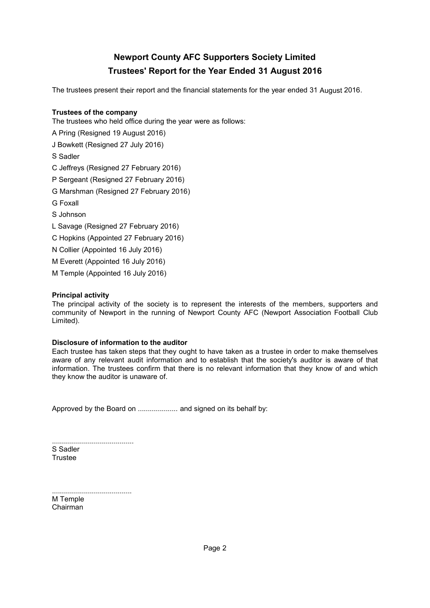### **Newport County AFC Supporters Society Limited Trustees' Report for the Year Ended 31 August 2016**

The trustees present their report and the financial statements for the year ended 31 August 2016.

#### **Trustees of the company**

The trustees who held office during the year were as follows:

- A Pring (Resigned 19 August 2016)
- J Bowkett (Resigned 27 July 2016)
- S Sadler
- C Jeffreys (Resigned 27 February 2016)
- P Sergeant (Resigned 27 February 2016)
- G Marshman (Resigned 27 February 2016)
- G Foxall
- S Johnson
- L Savage (Resigned 27 February 2016)
- C Hopkins (Appointed 27 February 2016)
- N Collier (Appointed 16 July 2016)
- M Everett (Appointed 16 July 2016)
- M Temple (Appointed 16 July 2016)

#### **Principal activity**

The principal activity of the society is to represent the interests of the members, supporters and community of Newport in the running of Newport County AFC (Newport Association Football Club Limited).

#### **Disclosure of information to the auditor**

Each trustee has taken steps that they ought to have taken as a trustee in order to make themselves aware of any relevant audit information and to establish that the society's auditor is aware of that information. The trustees confirm that there is no relevant information that they know of and which they know the auditor is unaware of.

Approved by the Board on .................... and signed on its behalf by:

......................................... S Sadler **Trustee** 

........................................

M Temple Chairman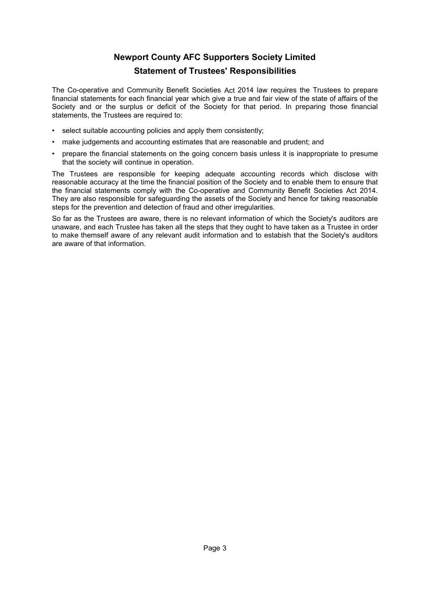### **Newport County AFC Supporters Society Limited**

#### **Statement of Trustees' Responsibilities**

The Co-operative and Community Benefit Societies Act 2014 law requires the Trustees to prepare financial statements for each financial year which give a true and fair view of the state of affairs of the Society and or the surplus or deficit of the Society for that period. In preparing those financial statements, the Trustees are required to:

- select suitable accounting policies and apply them consistently;
- make judgements and accounting estimates that are reasonable and prudent; and
- prepare the financial statements on the going concern basis unless it is inappropriate to presume that the society will continue in operation.

The Trustees are responsible for keeping adequate accounting records which disclose with reasonable accuracy at the time the financial position of the Society and to enable them to ensure that the financial statements comply with the Co-operative and Community Benefit Societies Act 2014. They are also responsible for safeguarding the assets of the Society and hence for taking reasonable steps for the prevention and detection of fraud and other irregularities.

So far as the Trustees are aware, there is no relevant information of which the Society's auditors are unaware, and each Trustee has taken all the steps that they ought to have taken as a Trustee in order to make themself aware of any relevant audit information and to estabish that the Society's auditors are aware of that information.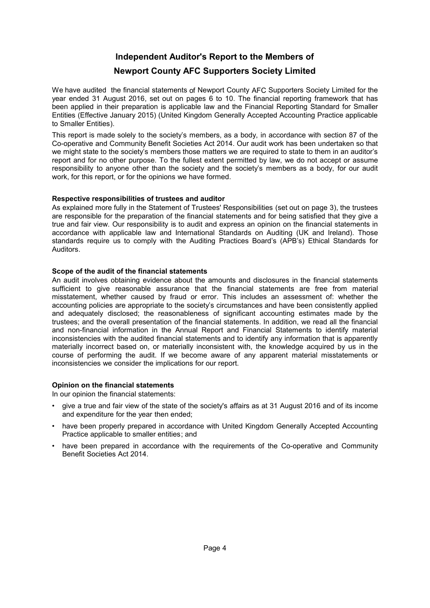#### **Independent Auditor's Report to the Members of**

#### **Newport County AFC Supporters Society Limited**

We have audited the financial statements of Newport County AFC Supporters Society Limited for the year ended 31 August 2016, set out on pages 6 to 10. The financial reporting framework that has been applied in their preparation is applicable law and the Financial Reporting Standard for Smaller Entities (Effective January 2015) (United Kingdom Generally Accepted Accounting Practice applicable to Smaller Entities).

This report is made solely to the society's members, as a body, in accordance with section 87 of the Co-operative and Community Benefit Societies Act 2014. Our audit work has been undertaken so that we might state to the society's members those matters we are required to state to them in an auditor's report and for no other purpose. To the fullest extent permitted by law, we do not accept or assume responsibility to anyone other than the society and the society's members as a body, for our audit work, for this report, or for the opinions we have formed.

#### **Respective responsibilities of trustees and auditor**

As explained more fully in the Statement of Trustees' Responsibilities (set out on page 3), the trustees are responsible for the preparation of the financial statements and for being satisfied that they give a true and fair view. Our responsibility is to audit and express an opinion on the financial statements in accordance with applicable law and International Standards on Auditing (UK and Ireland). Those standards require us to comply with the Auditing Practices Board's (APB's) Ethical Standards for Auditors.

#### **Scope of the audit of the financial statements**

An audit involves obtaining evidence about the amounts and disclosures in the financial statements sufficient to give reasonable assurance that the financial statements are free from material misstatement, whether caused by fraud or error. This includes an assessment of: whether the accounting policies are appropriate to the society's circumstances and have been consistently applied and adequately disclosed; the reasonableness of significant accounting estimates made by the trustees; and the overall presentation of the financial statements. In addition, we read all the financial and non-financial information in the Annual Report and Financial Statements to identify material inconsistencies with the audited financial statements and to identify any information that is apparently materially incorrect based on, or materially inconsistent with, the knowledge acquired by us in the course of performing the audit. If we become aware of any apparent material misstatements or inconsistencies we consider the implications for our report.

#### **Opinion on the financial statements**

In our opinion the financial statements:

- give a true and fair view of the state of the society's affairs as at 31 August 2016 and of its income and expenditure for the year then ended;
- have been properly prepared in accordance with United Kingdom Generally Accepted Accounting Practice applicable to smaller entities; and
- have been prepared in accordance with the requirements of the Co-operative and Community Benefit Societies Act 2014.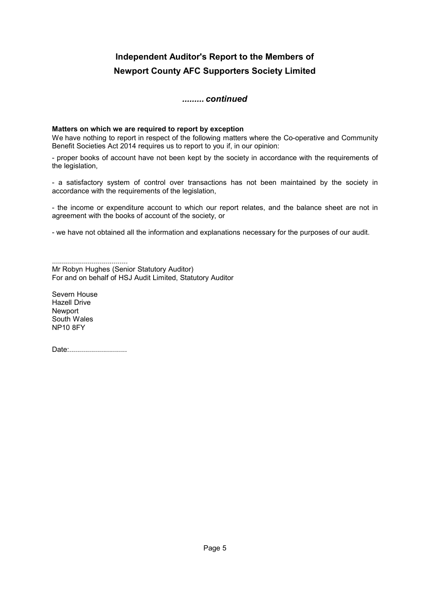## **Independent Auditor's Report to the Members of Newport County AFC Supporters Society Limited**

#### *......... continued*

#### **Matters on which we are required to report by exception**

We have nothing to report in respect of the following matters where the Co-operative and Community Benefit Societies Act 2014 requires us to report to you if, in our opinion:

- proper books of account have not been kept by the society in accordance with the requirements of the legislation,

- a satisfactory system of control over transactions has not been maintained by the society in accordance with the requirements of the legislation,

- the income or expenditure account to which our report relates, and the balance sheet are not in agreement with the books of account of the society, or

- we have not obtained all the information and explanations necessary for the purposes of our audit.

......................................

Mr Robyn Hughes (Senior Statutory Auditor) For and on behalf of HSJ Audit Limited, Statutory Auditor

Severn House Hazell Drive Newport South Wales NP10 8FY

Date:..............................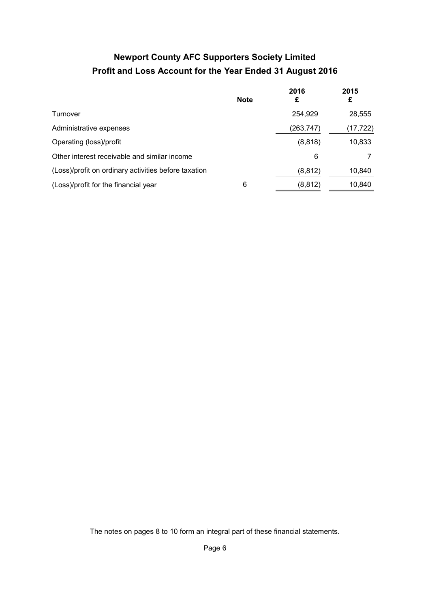### **Newport County AFC Supporters Society Limited Profit and Loss Account for the Year Ended 31 August 2016**

|                                                      | <b>Note</b> | 2016<br>£ | 2015<br>£ |
|------------------------------------------------------|-------------|-----------|-----------|
| Turnover                                             |             | 254,929   | 28,555    |
| Administrative expenses                              |             | (263,747) | (17, 722) |
| Operating (loss)/profit                              |             | (8, 818)  | 10,833    |
| Other interest receivable and similar income         |             | 6         |           |
| (Loss)/profit on ordinary activities before taxation |             | (8, 812)  | 10,840    |
| (Loss)/profit for the financial year                 | 6           | (8, 812)  | 10,840    |

The notes on pages 8 to 10 form an integral part of these financial statements.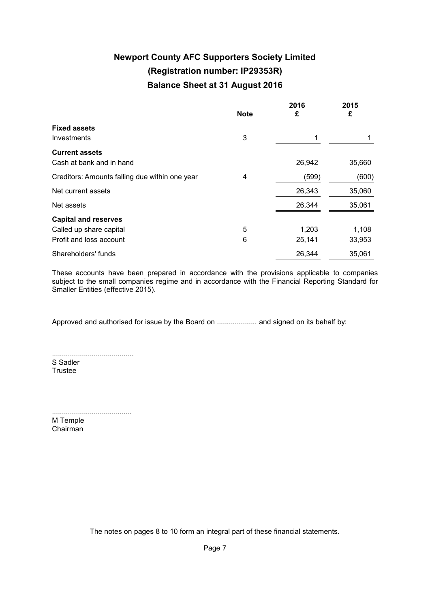### **Newport County AFC Supporters Society Limited (Registration number: IP29353R) Balance Sheet at 31 August 2016**

|                                                | <b>Note</b> | 2016<br>£ | 2015<br>£ |
|------------------------------------------------|-------------|-----------|-----------|
| <b>Fixed assets</b>                            |             |           |           |
| Investments                                    | 3           | 1         |           |
| <b>Current assets</b>                          |             |           |           |
| Cash at bank and in hand                       |             | 26,942    | 35,660    |
| Creditors: Amounts falling due within one year | 4           | (599)     | (600)     |
| Net current assets                             |             | 26,343    | 35,060    |
| Net assets                                     |             | 26,344    | 35,061    |
| <b>Capital and reserves</b>                    |             |           |           |
| Called up share capital                        | 5           | 1,203     | 1,108     |
| Profit and loss account                        | 6           | 25,141    | 33,953    |
| Shareholders' funds                            |             | 26,344    | 35,061    |

These accounts have been prepared in accordance with the provisions applicable to companies subject to the small companies regime and in accordance with the Financial Reporting Standard for Smaller Entities (effective 2015).

Approved and authorised for issue by the Board on ...................... and signed on its behalf by:

......................................... S Sadler Trustee

........................................ M Temple Chairman

The notes on pages 8 to 10 form an integral part of these financial statements.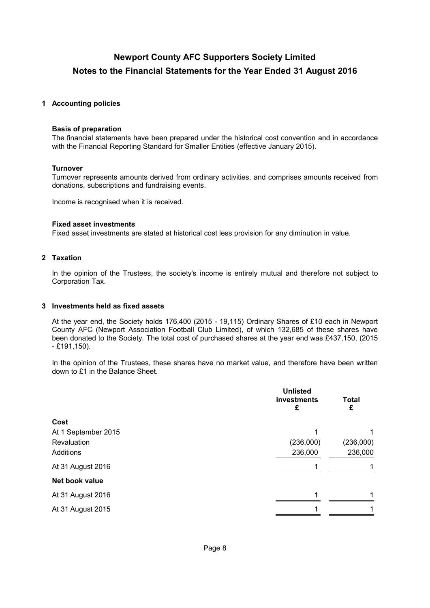### **Newport County AFC Supporters Society Limited Notes to the Financial Statements for the Year Ended 31 August 2016**

#### **1 Accounting policies**

#### **Basis of preparation**

The financial statements have been prepared under the historical cost convention and in accordance with the Financial Reporting Standard for Smaller Entities (effective January 2015).

#### **Turnover**

Turnover represents amounts derived from ordinary activities, and comprises amounts received from donations, subscriptions and fundraising events.

Income is recognised when it is received.

#### **Fixed asset investments**

Fixed asset investments are stated at historical cost less provision for any diminution in value.

#### **2 Taxation**

In the opinion of the Trustees, the society's income is entirely mutual and therefore not subject to Corporation Tax.

#### **3 Investments held as fixed assets**

At the year end, the Society holds 176,400 (2015 - 19,115) Ordinary Shares of £10 each in Newport County AFC (Newport Association Football Club Limited), of which 132,685 of these shares have been donated to the Society. The total cost of purchased shares at the year end was £437,150, (2015 - £191,150).

In the opinion of the Trustees, these shares have no market value, and therefore have been written down to £1 in the Balance Sheet.

|                     | <b>Unlisted</b><br>investments<br>£ | <b>Total</b><br>£ |
|---------------------|-------------------------------------|-------------------|
| Cost                |                                     |                   |
| At 1 September 2015 |                                     |                   |
| Revaluation         | (236,000)                           | (236,000)         |
| Additions           | 236,000                             | 236,000           |
| At 31 August 2016   |                                     |                   |
| Net book value      |                                     |                   |
| At 31 August 2016   | 1                                   |                   |
| At 31 August 2015   |                                     |                   |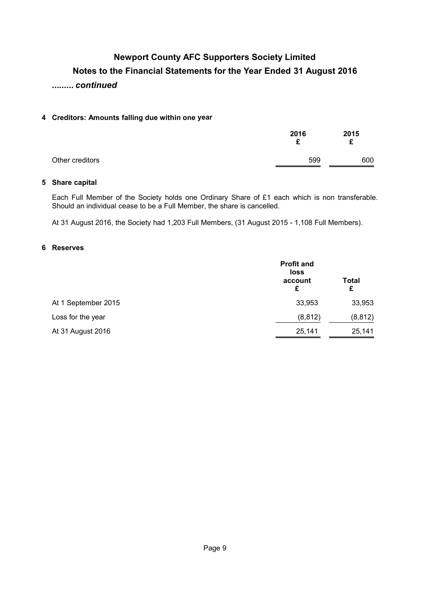### **Newport County AFC Supporters Society Limited Notes to the Financial Statements for the Year Ended 31 August 2016** *......... continued*

#### **4 Creditors: Amounts falling due within one year**

|                 | 2016<br>c | 2015<br>c |
|-----------------|-----------|-----------|
| Other creditors | 599       | 600       |

#### **5 Share capital**

Each Full Member of the Society holds one Ordinary Share of £1 each which is non transferable. Should an individual cease to be a Full Member, the share is cancelled.

At 31 August 2016, the Society had 1,203 Full Members, (31 August 2015 - 1,108 Full Members).

#### **6 Reserves**

|                     | <b>Profit and</b><br><b>loss</b><br>account<br>£ | <b>Total</b><br>£ |  |
|---------------------|--------------------------------------------------|-------------------|--|
| At 1 September 2015 | 33,953                                           | 33,953            |  |
| Loss for the year   | (8, 812)                                         | (8, 812)          |  |
| At 31 August 2016   | 25,141                                           | 25,141            |  |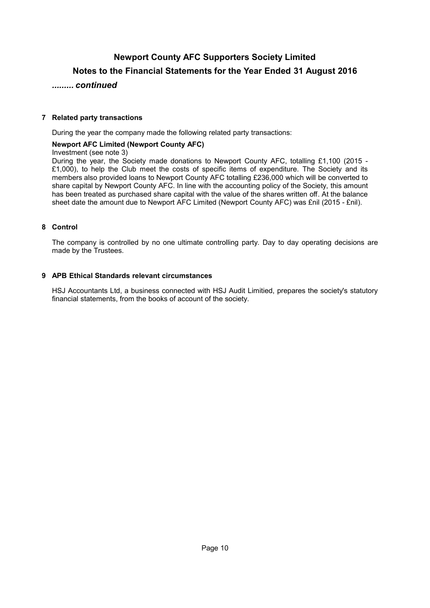### **Newport County AFC Supporters Society Limited Notes to the Financial Statements for the Year Ended 31 August 2016**

#### *......... continued*

#### **7 Related party transactions**

During the year the company made the following related party transactions:

#### **Newport AFC Limited (Newport County AFC)**

Investment (see note 3)

During the year, the Society made donations to Newport County AFC, totalling £1,100 (2015 - £1,000), to help the Club meet the costs of specific items of expenditure. The Society and its members also provided loans to Newport County AFC totalling £236,000 which will be converted to share capital by Newport County AFC. In line with the accounting policy of the Society, this amount has been treated as purchased share capital with the value of the shares written off. At the balance sheet date the amount due to Newport AFC Limited (Newport County AFC) was £nil (2015 - £nil).

#### **8 Control**

The company is controlled by no one ultimate controlling party. Day to day operating decisions are made by the Trustees.

#### **9 APB Ethical Standards relevant circumstances**

HSJ Accountants Ltd, a business connected with HSJ Audit Limitied, prepares the society's statutory financial statements, from the books of account of the society.